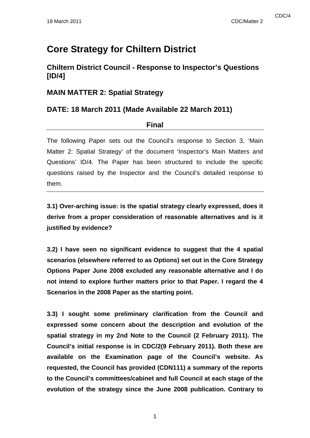# **Core Strategy for Chiltern District**

# **Chiltern District Council - Response to Inspector's Questions [ID/4]**

# **MAIN MATTER 2: Spatial Strategy**

# **DATE: 18 March 2011 (Made Available 22 March 2011)**

### **Final**

The following Paper sets out the Council's response to Section 3, 'Main Matter 2: Spatial Strategy' of the document 'Inspector's Main Matters and Questions' ID/4. The Paper has been structured to include the specific questions raised by the Inspector and the Council's detailed response to them.

**3.1) Over-arching issue: is the spatial strategy clearly expressed, does it derive from a proper consideration of reasonable alternatives and is it justified by evidence?** 

**3.2) I have seen no significant evidence to suggest that the 4 spatial scenarios (elsewhere referred to as Options) set out in the Core Strategy Options Paper June 2008 excluded any reasonable alternative and I do not intend to explore further matters prior to that Paper. I regard the 4 Scenarios in the 2008 Paper as the starting point.** 

**3.3) I sought some preliminary clarification from the Council and expressed some concern about the description and evolution of the spatial strategy in my 2nd Note to the Council (2 February 2011). The Council's initial response is in CDC/2(9 February 2011). Both these are available on the Examination page of the Council's website. As requested, the Council has provided (CDN111) a summary of the reports to the Council's committees/cabinet and full Council at each stage of the evolution of the strategy since the June 2008 publication. Contrary to**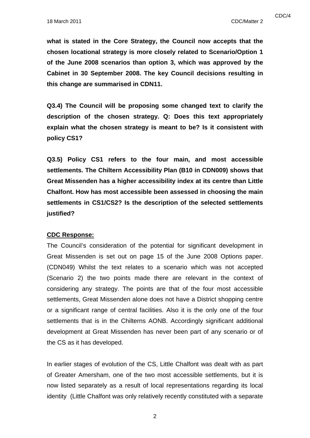**what is stated in the Core Strategy, the Council now accepts that the chosen locational strategy is more closely related to Scenario/Option 1 of the June 2008 scenarios than option 3, which was approved by the Cabinet in 30 September 2008. The key Council decisions resulting in this change are summarised in CDN11.** 

**Q3.4) The Council will be proposing some changed text to clarify the description of the chosen strategy. Q: Does this text appropriately explain what the chosen strategy is meant to be? Is it consistent with policy CS1?** 

**Q3.5) Policy CS1 refers to the four main, and most accessible settlements. The Chiltern Accessibility Plan (B10 in CDN009) shows that Great Missenden has a higher accessibility index at its centre than Little Chalfont. How has most accessible been assessed in choosing the main settlements in CS1/CS2? Is the description of the selected settlements justified?** 

#### **CDC Response:**

The Council's consideration of the potential for significant development in Great Missenden is set out on page 15 of the June 2008 Options paper. (CDN049) Whilst the text relates to a scenario which was not accepted (Scenario 2) the two points made there are relevant in the context of considering any strategy. The points are that of the four most accessible settlements, Great Missenden alone does not have a District shopping centre or a significant range of central facilities. Also it is the only one of the four settlements that is in the Chilterns AONB. Accordingly significant additional development at Great Missenden has never been part of any scenario or of the CS as it has developed.

In earlier stages of evolution of the CS, Little Chalfont was dealt with as part of Greater Amersham, one of the two most accessible settlements, but it is now listed separately as a result of local representations regarding its local identity (Little Chalfont was only relatively recently constituted with a separate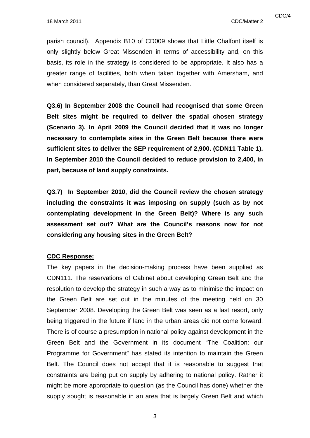parish council). Appendix B10 of CD009 shows that Little Chalfont itself is only slightly below Great Missenden in terms of accessibility and, on this basis, its role in the strategy is considered to be appropriate. It also has a greater range of facilities, both when taken together with Amersham, and when considered separately, than Great Missenden.

**Q3.6) In September 2008 the Council had recognised that some Green Belt sites might be required to deliver the spatial chosen strategy (Scenario 3). In April 2009 the Council decided that it was no longer necessary to contemplate sites in the Green Belt because there were sufficient sites to deliver the SEP requirement of 2,900. (CDN11 Table 1). In September 2010 the Council decided to reduce provision to 2,400, in part, because of land supply constraints.** 

**Q3.7) In September 2010, did the Council review the chosen strategy including the constraints it was imposing on supply (such as by not contemplating development in the Green Belt)? Where is any such assessment set out? What are the Council's reasons now for not considering any housing sites in the Green Belt?** 

#### **CDC Response:**

The key papers in the decision-making process have been supplied as CDN111. The reservations of Cabinet about developing Green Belt and the resolution to develop the strategy in such a way as to minimise the impact on the Green Belt are set out in the minutes of the meeting held on 30 September 2008. Developing the Green Belt was seen as a last resort, only being triggered in the future if land in the urban areas did not come forward. There is of course a presumption in national policy against development in the Green Belt and the Government in its document "The Coalition: our Programme for Government" has stated its intention to maintain the Green Belt. The Council does not accept that it is reasonable to suggest that constraints are being put on supply by adhering to national policy. Rather it might be more appropriate to question (as the Council has done) whether the supply sought is reasonable in an area that is largely Green Belt and which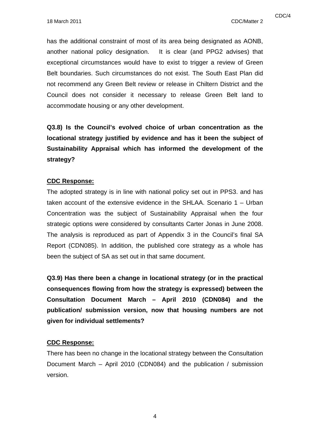has the additional constraint of most of its area being designated as AONB, another national policy designation. It is clear (and PPG2 advises) that exceptional circumstances would have to exist to trigger a review of Green Belt boundaries. Such circumstances do not exist. The South East Plan did not recommend any Green Belt review or release in Chiltern District and the Council does not consider it necessary to release Green Belt land to accommodate housing or any other development.

**Q3.8) Is the Council's evolved choice of urban concentration as the locational strategy justified by evidence and has it been the subject of Sustainability Appraisal which has informed the development of the strategy?** 

### **CDC Response:**

The adopted strategy is in line with national policy set out in PPS3. and has taken account of the extensive evidence in the SHLAA. Scenario 1 – Urban Concentration was the subject of Sustainability Appraisal when the four strategic options were considered by consultants Carter Jonas in June 2008. The analysis is reproduced as part of Appendix 3 in the Council's final SA Report (CDN085). In addition, the published core strategy as a whole has been the subject of SA as set out in that same document.

**Q3.9) Has there been a change in locational strategy (or in the practical consequences flowing from how the strategy is expressed) between the Consultation Document March – April 2010 (CDN084) and the publication/ submission version, now that housing numbers are not given for individual settlements?** 

### **CDC Response:**

There has been no change in the locational strategy between the Consultation Document March – April 2010 (CDN084) and the publication / submission version.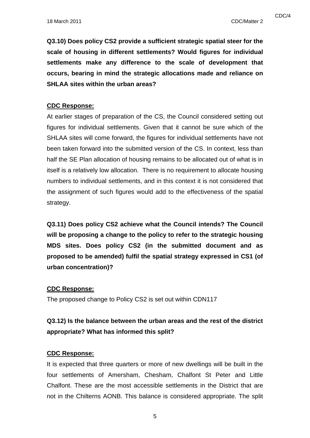**Q3.10) Does policy CS2 provide a sufficient strategic spatial steer for the scale of housing in different settlements? Would figures for individual settlements make any difference to the scale of development that occurs, bearing in mind the strategic allocations made and reliance on SHLAA sites within the urban areas?** 

### **CDC Response:**

At earlier stages of preparation of the CS, the Council considered setting out figures for individual settlements. Given that it cannot be sure which of the SHLAA sites will come forward, the figures for individual settlements have not been taken forward into the submitted version of the CS. In context, less than half the SE Plan allocation of housing remains to be allocated out of what is in itself is a relatively low allocation. There is no requirement to allocate housing numbers to individual settlements, and in this context it is not considered that the assignment of such figures would add to the effectiveness of the spatial strategy.

**Q3.11) Does policy CS2 achieve what the Council intends? The Council will be proposing a change to the policy to refer to the strategic housing MDS sites. Does policy CS2 (in the submitted document and as proposed to be amended) fulfil the spatial strategy expressed in CS1 (of urban concentration)?** 

#### **CDC Response:**

The proposed change to Policy CS2 is set out within CDN117

# **Q3.12) Is the balance between the urban areas and the rest of the district appropriate? What has informed this split?**

### **CDC Response:**

It is expected that three quarters or more of new dwellings will be built in the four settlements of Amersham, Chesham, Chalfont St Peter and Little Chalfont. These are the most accessible settlements in the District that are not in the Chilterns AONB. This balance is considered appropriate. The split